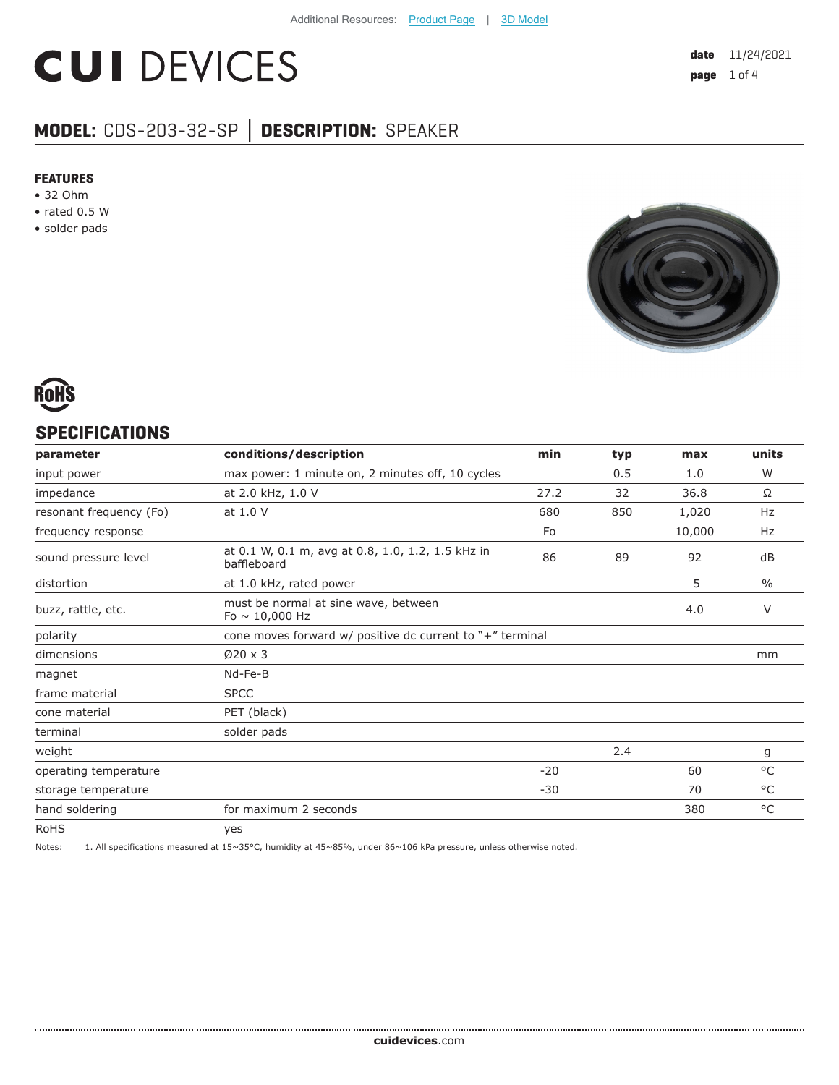# **CUI DEVICES**

# **MODEL:** CDS-203-32-SP **│ DESCRIPTION:** SPEAKER

#### **FEATURES**

- 32 Ohm
- rated 0.5 W
- solder pads





## **SPECIFICATIONS**

| parameter               | conditions/description                                           | min   | typ | max    | units         |
|-------------------------|------------------------------------------------------------------|-------|-----|--------|---------------|
| input power             | max power: 1 minute on, 2 minutes off, 10 cycles                 |       | 0.5 | 1.0    | W             |
| impedance               | at 2.0 kHz, 1.0 V                                                | 27.2  | 32  | 36.8   | Ω             |
| resonant frequency (Fo) | at 1.0 V                                                         | 680   | 850 | 1,020  | Hz            |
| frequency response      |                                                                  | Fo    |     | 10,000 | Hz            |
| sound pressure level    | at 0.1 W, 0.1 m, avg at 0.8, 1.0, 1.2, 1.5 kHz in<br>baffleboard | 86    | 89  | 92     | dB            |
| distortion              | at 1.0 kHz, rated power                                          |       |     | 5      | $\frac{0}{0}$ |
| buzz, rattle, etc.      | must be normal at sine wave, between<br>Fo $\sim$ 10,000 Hz      |       |     | 4.0    | $\vee$        |
| polarity                | cone moves forward w/ positive dc current to "+" terminal        |       |     |        |               |
| dimensions              | $\varnothing$ 20 x 3                                             |       |     |        | mm            |
| magnet                  | Nd-Fe-B                                                          |       |     |        |               |
| frame material          | <b>SPCC</b>                                                      |       |     |        |               |
| cone material           | PET (black)                                                      |       |     |        |               |
| terminal                | solder pads                                                      |       |     |        |               |
| weight                  |                                                                  |       | 2.4 |        | g             |
| operating temperature   |                                                                  | $-20$ |     | 60     | $^{\circ}$ C  |
| storage temperature     |                                                                  | $-30$ |     | 70     | $^{\circ}$ C  |
| hand soldering          | for maximum 2 seconds                                            |       |     | 380    | $^{\circ}$ C  |
| <b>RoHS</b>             | yes                                                              |       |     |        |               |

Notes: 1. All specifications measured at 15~35°C, humidity at 45~85%, under 86~106 kPa pressure, unless otherwise noted.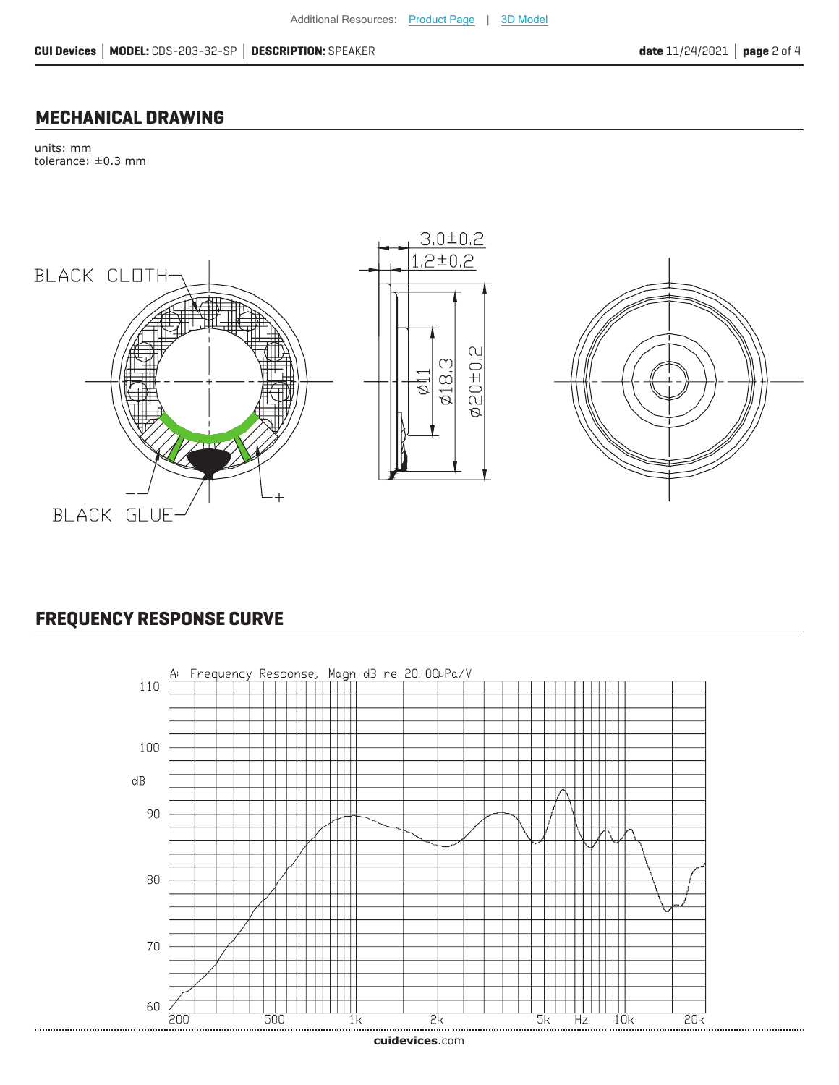#### **MECHANICAL DRAWING**

units: mm tolerance: ±0.3 mm



# **FREQUENCY RESPONSE CURVE**



**cui[devices](https://www.cuidevices.com/track?actionLabel=Datasheet-ClickThrough-HomePage&label=CDS-203-32-SP.pdf&path=/)**.com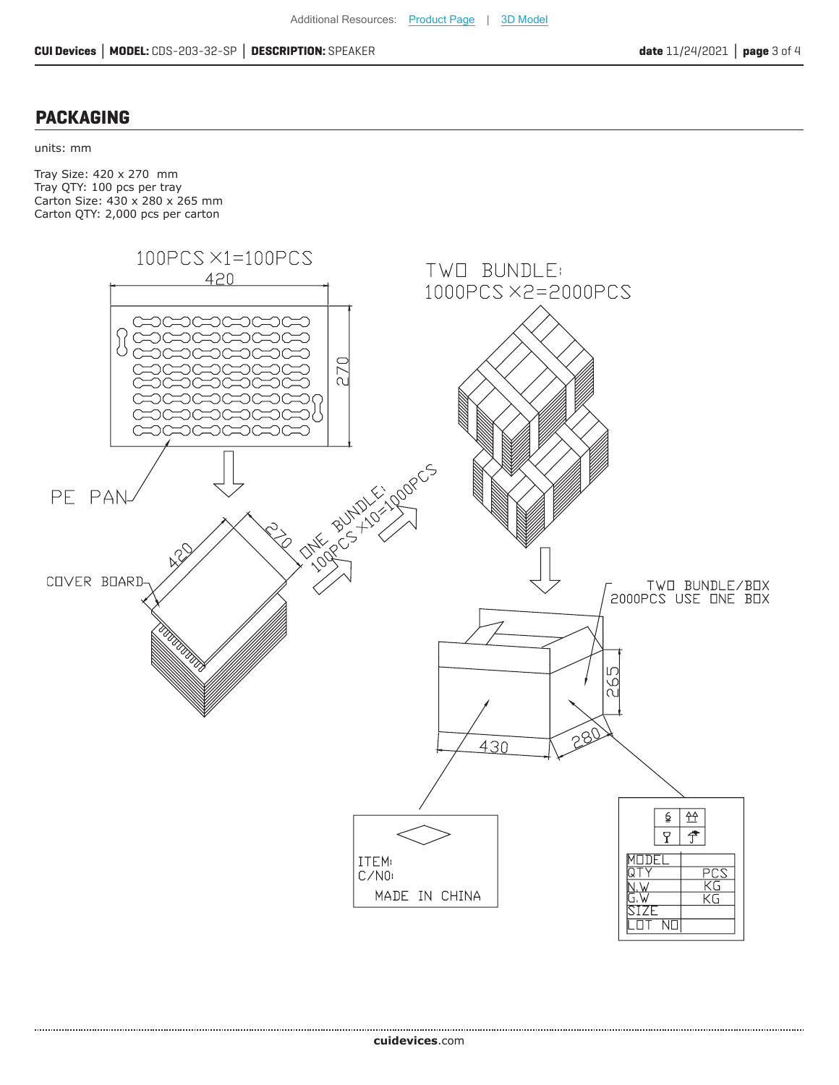## **PACKAGING**

units: mm

Tray Size: 420 x 270 mm Tray QTY: 100 pcs per tray Carton Size: 430 x 280 x 265 mm Carton QTY: 2,000 pcs per carton